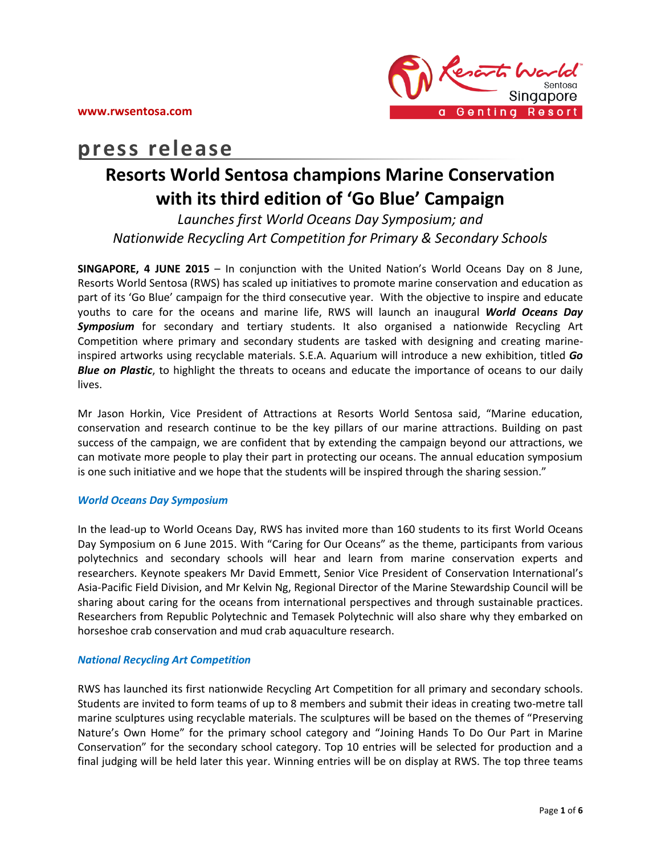

# **press release**

# **Resorts World Sentosa champions Marine Conservation with its third edition of 'Go Blue' Campaign**

*Launches first World Oceans Day Symposium; and Nationwide Recycling Art Competition for Primary & Secondary Schools*

**SINGAPORE, 4 JUNE 2015** – In conjunction with the United Nation's World Oceans Day on 8 June, Resorts World Sentosa (RWS) has scaled up initiatives to promote marine conservation and education as part of its 'Go Blue' campaign for the third consecutive year. With the objective to inspire and educate youths to care for the oceans and marine life, RWS will launch an inaugural *World Oceans Day Symposium* for secondary and tertiary students. It also organised a nationwide Recycling Art Competition where primary and secondary students are tasked with designing and creating marineinspired artworks using recyclable materials. S.E.A. Aquarium will introduce a new exhibition, titled *Go Blue on Plastic*, to highlight the threats to oceans and educate the importance of oceans to our daily lives.

Mr Jason Horkin, Vice President of Attractions at Resorts World Sentosa said, "Marine education, conservation and research continue to be the key pillars of our marine attractions. Building on past success of the campaign, we are confident that by extending the campaign beyond our attractions, we can motivate more people to play their part in protecting our oceans. The annual education symposium is one such initiative and we hope that the students will be inspired through the sharing session."

# *World Oceans Day Symposium*

In the lead-up to World Oceans Day, RWS has invited more than 160 students to its first World Oceans Day Symposium on 6 June 2015. With "Caring for Our Oceans" as the theme, participants from various polytechnics and secondary schools will hear and learn from marine conservation experts and researchers. Keynote speakers Mr David Emmett, Senior Vice President of Conservation International's Asia-Pacific Field Division, and Mr Kelvin Ng, Regional Director of the Marine Stewardship Council will be sharing about caring for the oceans from international perspectives and through sustainable practices. Researchers from Republic Polytechnic and Temasek Polytechnic will also share why they embarked on horseshoe crab conservation and mud crab aquaculture research.

### *National Recycling Art Competition*

RWS has launched its first nationwide Recycling Art Competition for all primary and secondary schools. Students are invited to form teams of up to 8 members and submit their ideas in creating two-metre tall marine sculptures using recyclable materials. The sculptures will be based on the themes of "Preserving Nature's Own Home" for the primary school category and "Joining Hands To Do Our Part in Marine Conservation" for the secondary school category. Top 10 entries will be selected for production and a final judging will be held later this year. Winning entries will be on display at RWS. The top three teams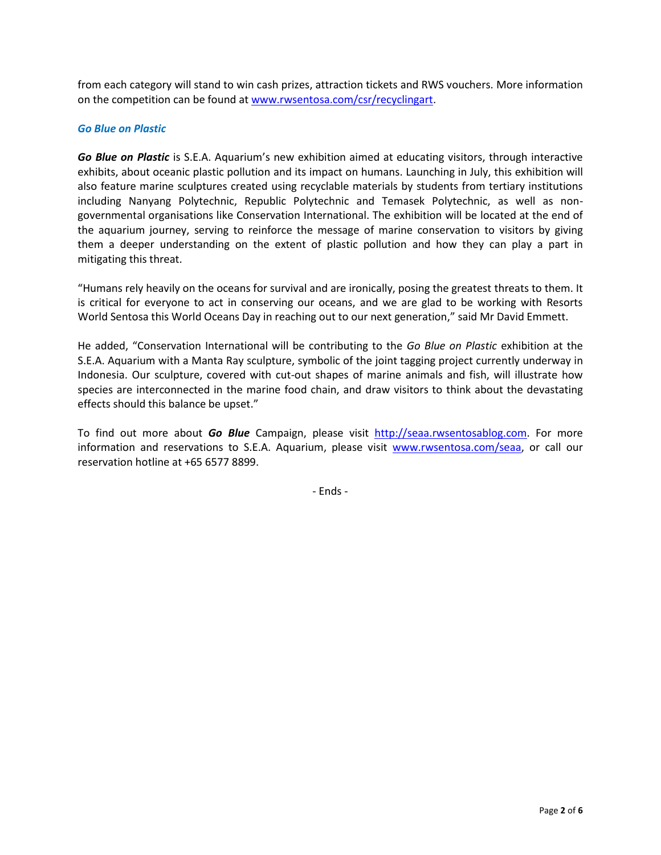from each category will stand to win cash prizes, attraction tickets and RWS vouchers. More information on the competition can be found at [www.rwsentosa.com/csr/recyclingart.](http://www.rwsentosa.com/csr/recyclingart)

# *Go Blue on Plastic*

*Go Blue on Plastic* is S.E.A. Aquarium's new exhibition aimed at educating visitors, through interactive exhibits, about oceanic plastic pollution and its impact on humans. Launching in July, this exhibition will also feature marine sculptures created using recyclable materials by students from tertiary institutions including Nanyang Polytechnic, Republic Polytechnic and Temasek Polytechnic, as well as nongovernmental organisations like Conservation International. The exhibition will be located at the end of the aquarium journey, serving to reinforce the message of marine conservation to visitors by giving them a deeper understanding on the extent of plastic pollution and how they can play a part in mitigating this threat.

"Humans rely heavily on the oceans for survival and are ironically, posing the greatest threats to them. It is critical for everyone to act in conserving our oceans, and we are glad to be working with Resorts World Sentosa this World Oceans Day in reaching out to our next generation," said Mr David Emmett.

He added, "Conservation International will be contributing to the *Go Blue on Plastic* exhibition at the S.E.A. Aquarium with a Manta Ray sculpture, symbolic of the joint tagging project currently underway in Indonesia. Our sculpture, covered with cut-out shapes of marine animals and fish, will illustrate how species are interconnected in the marine food chain, and draw visitors to think about the devastating effects should this balance be upset."

To find out more about *Go Blue* Campaign, please visit [http://seaa.rwsentosablog.com.](http://seaa.rwsentosablog.com/) For more information and reservations to S.E.A. Aquarium, please visit [www.rwsentosa.com/seaa,](http://www.rwsentosa.com/seaa) or call our reservation hotline at +65 6577 8899.

- Ends -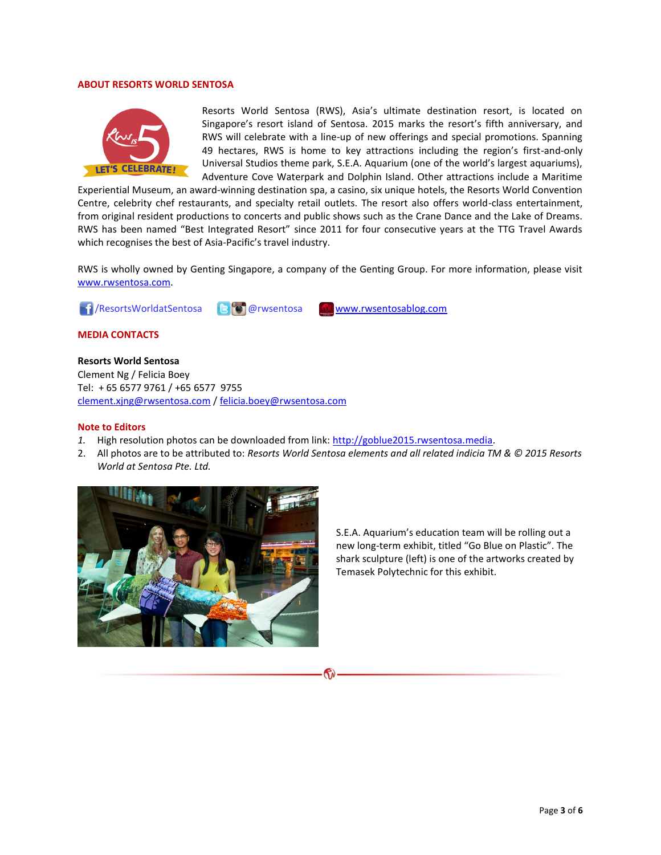#### **ABOUT RESORTS WORLD SENTOSA**



Resorts World Sentosa (RWS), Asia's ultimate destination resort, is located on Singapore's resort island of Sentosa. 2015 marks the resort's fifth anniversary, and RWS will celebrate with a line-up of new offerings and special promotions. Spanning 49 hectares, RWS is home to key attractions including the region's first-and-only Universal Studios theme park, S.E.A. Aquarium (one of the world's largest aquariums), Adventure Cove Waterpark and Dolphin Island. Other attractions include a Maritime

Experiential Museum, an award-winning destination spa, a casino, six unique hotels, the Resorts World Convention Centre, celebrity chef restaurants, and specialty retail outlets. The resort also offers world-class entertainment, from original resident productions to concerts and public shows such as the Crane Dance and the Lake of Dreams. RWS has been named "Best Integrated Resort" since 2011 for four consecutive years at the TTG Travel Awards which recognises the best of Asia-Pacific's travel industry.

RWS is wholly owned by Genting Singapore, a company of the Genting Group. For more information, please visit [www.rwsentosa.com.](http://www.rwsentosa.com/)



**MEDIA CONTACTS**

#### **Resorts World Sentosa**

Clement Ng / Felicia Boey Tel: + 65 6577 9761 / +65 6577 9755 [clement.xjng@rwsentosa.com](mailto:clement.xjng@rwsentosa.com) / [felicia.boey@rwsentosa.com](mailto:felicia.boey@rwsentosa.com)

#### **Note to Editors**

- *1.* High resolution photos can be downloaded from link: [http://goblue2015.rwsentosa.media.](http://goblue2015.rwsentosa.media/)
- 2. All photos are to be attributed to: *Resorts World Sentosa elements and all related indicia TM & © 2015 Resorts World at Sentosa Pte. Ltd.*



S.E.A. Aquarium's education team will be rolling out a new long-term exhibit, titled "Go Blue on Plastic". The shark sculpture (left) is one of the artworks created by Temasek Polytechnic for this exhibit.

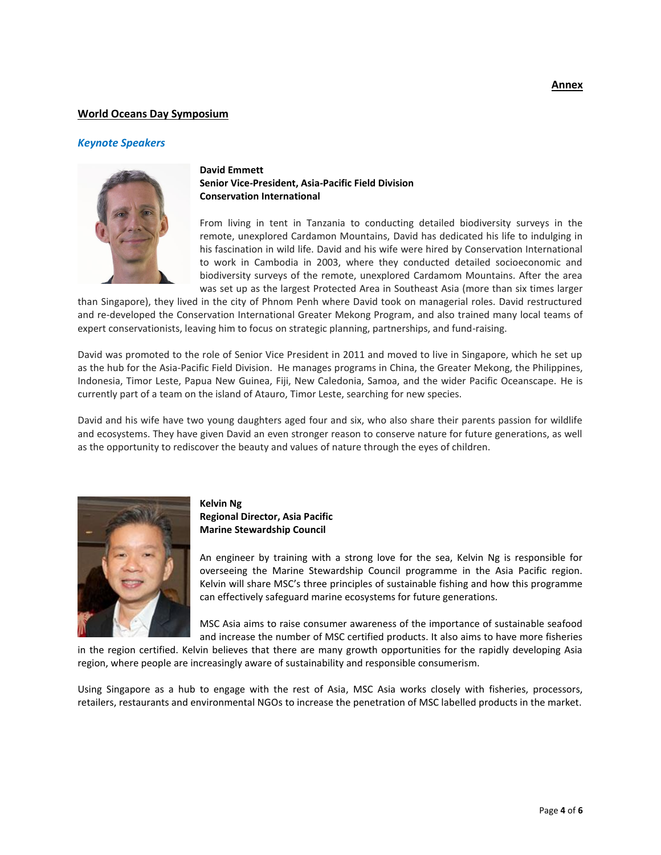# **World Oceans Day Symposium**

#### *Keynote Speakers*



# **David Emmett Senior Vice-President, Asia-Pacific Field Division Conservation International**

From living in tent in Tanzania to conducting detailed biodiversity surveys in the remote, unexplored Cardamon Mountains, David has dedicated his life to indulging in his fascination in wild life. David and his wife were hired by Conservation International to work in Cambodia in 2003, where they conducted detailed socioeconomic and biodiversity surveys of the remote, unexplored Cardamom Mountains. After the area was set up as the largest Protected Area in Southeast Asia (more than six times larger

than Singapore), they lived in the city of Phnom Penh where David took on managerial roles. David restructured and re-developed the Conservation International Greater Mekong Program, and also trained many local teams of expert conservationists, leaving him to focus on strategic planning, partnerships, and fund-raising.

David was promoted to the role of Senior Vice President in 2011 and moved to live in Singapore, which he set up as the hub for the Asia-Pacific Field Division. He manages programs in China, the Greater Mekong, the Philippines, Indonesia, Timor Leste, Papua New Guinea, Fiji, New Caledonia, Samoa, and the wider Pacific Oceanscape. He is currently part of a team on the island of Atauro, Timor Leste, searching for new species.

David and his wife have two young daughters aged four and six, who also share their parents passion for wildlife and ecosystems. They have given David an even stronger reason to conserve nature for future generations, as well as the opportunity to rediscover the beauty and values of nature through the eyes of children.



# **Kelvin Ng Regional Director, Asia Pacific Marine Stewardship Council**

An engineer by training with a strong love for the sea, Kelvin Ng is responsible for overseeing the Marine Stewardship Council programme in the Asia Pacific region. Kelvin will share MSC's three principles of sustainable fishing and how this programme can effectively safeguard marine ecosystems for future generations.

MSC Asia aims to raise consumer awareness of the importance of sustainable seafood and increase the number of MSC certified products. It also aims to have more fisheries

in the region certified. Kelvin believes that there are many growth opportunities for the rapidly developing Asia region, where people are increasingly aware of sustainability and responsible consumerism.

Using Singapore as a hub to engage with the rest of Asia, MSC Asia works closely with fisheries, processors, retailers, restaurants and environmental NGOs to increase the penetration of MSC labelled products in the market.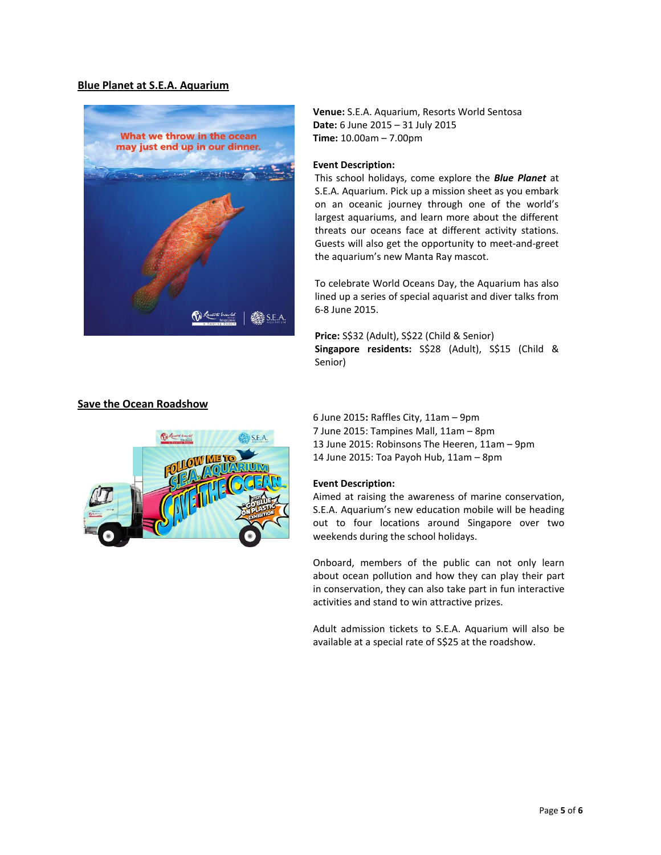#### **Blue Planet at S.E.A. Aquarium**



**Venue:** S.E.A. Aquarium, Resorts World Sentosa **Date:** 6 June 2015 – 31 July 2015 **Time:** 10.00am – 7.00pm

#### **Event Description:**

This school holidays, come explore the *Blue Planet* at S.E.A. Aquarium. Pick up a mission sheet as you embark on an oceanic journey through one of the world's largest aquariums, and learn more about the different threats our oceans face at different activity stations. Guests will also get the opportunity to meet-and-greet the aquarium's new Manta Ray mascot.

To celebrate World Oceans Day, the Aquarium has also lined up a series of special aquarist and diver talks from 6-8 June 2015.

**Price:** S\$32 (Adult), S\$22 (Child & Senior) **Singapore residents:** S\$28 (Adult), S\$15 (Child & Senior)



#### **Save the Ocean Roadshow**

6 June 2015**:** Raffles City, 11am – 9pm 7 June 2015: Tampines Mall, 11am – 8pm 13 June 2015: Robinsons The Heeren, 11am – 9pm 14 June 2015: Toa Payoh Hub, 11am – 8pm

#### **Event Description:**

Aimed at raising the awareness of marine conservation, S.E.A. Aquarium's new education mobile will be heading out to four locations around Singapore over two weekends during the school holidays.

Onboard, members of the public can not only learn about ocean pollution and how they can play their part in conservation, they can also take part in fun interactive activities and stand to win attractive prizes.

Adult admission tickets to S.E.A. Aquarium will also be available at a special rate of S\$25 at the roadshow.